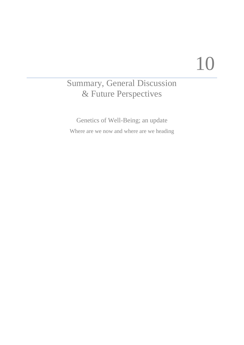# 10

# Summary, General Discussion & Future Perspectives

Genetics of Well-Being; an update Where are we now and where are we heading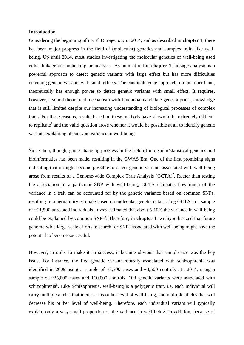# **Introduction**

Considering the beginning of my PhD trajectory in 2014, and as described in **chapter 1**, there has been major progress in the field of (molecular) genetics and complex traits like wellbeing. Up until 2014, most studies investigating the molecular genetics of well-being used either linkage or candidate gene analyses. As pointed out in **chapter 1**, linkage analysis is a powerful approach to detect genetic variants with large effect but has more difficulties detecting genetic variants with small effects. The candidate gene approach, on the other hand, theoretically has enough power to detect genetic variants with small effect. It requires, however, a sound theoretical mechanism with functional candidate genes a priori, knowledge that is still limited despite our increasing understanding of biological processes of complex traits. For these reasons, results based on these methods have shown to be extremely difficult to replicate<sup>1</sup> and the valid question arose whether it would be possible at all to identify genetic variants explaining phenotypic variance in well-being.

Since then, though, game-changing progress in the field of molecular/statistical genetics and bioinformatics has been made, resulting in the GWAS Era. One of the first promising signs indicating that it might become possible to detect genetic variants associated with well-being arose from results of a Genome-wide Complex Trait Analysis  $(GCTA)^2$ . Rather than testing the association of a particular SNP with well-being, GCTA estimates how much of the variance in a trait can be accounted for by the genetic variance based on common SNPs, resulting in a heritability estimate based on molecular genetic data. Using GCTA in a sample of ~11,500 unrelated individuals, it was estimated that about 5-10% the variance in well-being could be explained by common SNPs<sup>3</sup>. Therefore, in **chapter 1**, we hypothesized that future genome-wide large-scale efforts to search for SNPs associated with well-being might have the potential to become successful.

However, in order to make it an success, it became obvious that sample size was the key issue. For instance, the first genetic variant robustly associated with schizophrenia was identified in 2009 using a sample of  $\sim 3,300$  cases and  $\sim 3,500$  controls<sup>4</sup>. In 2014, using a sample of  $\approx 35,000$  cases and 110,000 controls, 108 genetic variants were associated with schizophrenia<sup>5</sup>. Like Schizophrenia, well-being is a polygenic trait, i.e. each individual will carry multiple alleles that increase his or her level of well-being, and multiple alleles that will decrease his or her level of well-being. Therefore, each individual variant will typically explain only a very small proportion of the variance in well-being. In addition, because of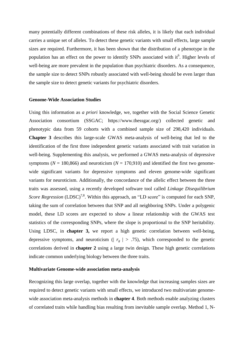many potentially different combinations of these risk alleles, it is likely that each individual carries a unique set of alleles. To detect these genetic variants with small effects, large sample sizes are required. Furthermore, it has been shown that the distribution of a phenotype in the population has an effect on the power to identify SNPs associated with it<sup>6</sup>. Higher levels of well-being are more prevalent in the population than psychiatric disorders. As a consequence, the sample size to detect SNPs robustly associated with well-being should be even larger than the sample size to detect genetic variants for psychiatric disorders.

## **Genome-Wide Association Studies**

Using this information as *a priori* knowledge, we, together with the Social Science Genetic Association consortium (SSGAC; https://www.thessgac.org/) collected genetic and phenotypic data from 59 cohorts with a combined sample size of 298,420 individuals. **Chapter 3** describes this large-scale GWAS meta-analysis of well-being that led to the identification of the first three independent genetic variants associated with trait variation in well-being. Supplementing this analysis, we performed a GWAS meta-analysis of depressive symptoms ( $N = 180,866$ ) and neuroticism ( $N = 170,910$ ) and identified the first two genomewide significant variants for depressive symptoms and eleven genome-wide significant variants for neuroticism. Additionally, the concordance of the allelic effect between the three traits was assessed, using a recently developed software tool called *Linkage Disequilibrium*  Score Regression (LDSC)<sup>7,8</sup>. Within this approach, an "LD score" is computed for each SNP, taking the sum of correlation between that SNP and all neighboring SNPs. Under a polygenic model, these LD scores are expected to show a linear relationship with the GWAS test statistics of the corresponding SNPs, where the slope is proportional to the SNP heritability. Using LDSC, in **chapter 3,** we report a high genetic correlation between well-being, depressive symptoms, and neuroticism ( $|r<sub>g</sub>| > .75$ ), which corresponded to the genetic correlations derived in **chapter 2** using a large twin design. These high genetic correlations indicate common underlying biology between the three traits.

#### **Multivariate Genome-wide association meta-analysis**

Recognizing this large overlap, together with the knowledge that increasing samples sizes are required to detect genetic variants with small effects, we introduced two multivariate genomewide association meta-analysis methods in **chapter 4**. Both methods enable analyzing clusters of correlated traits while handling bias resulting from inevitable sample overlap. Method 1, N-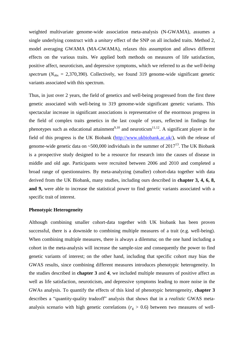weighted multivariate genome-wide association meta-analysis (N-GWAMA), assumes a single underlying construct with a *unitary* effect of the SNP on all included traits. Method 2, model averaging GWAMA (MA-GWAMA), relaxes this assumption and allows different effects on the various traits. We applied both methods on measures of life satisfaction, positive affect, neuroticism, and depressive symptoms, which we referred to as the *well-being spectrum* ( $N_{obs} = 2,370,390$ ). Collectively, we found 319 genome-wide significant genetic variants associated with this spectrum.

Thus, in just over 2 years, the field of genetics and well-being progressed from the first three genetic associated with well-being to 319 genome-wide significant genetic variants. This spectacular increase in significant associations is representative of the enormous progress in the field of complex traits genetics in the last couple of years, reflected in findings for phenotypes such as educational attainment<sup>9,10</sup> and neuroticsm<sup>11,12</sup>. A significant player in the field of this progress is the UK Biobank [\(http://www.ukbiobank.ac.uk/\)](http://www.ukbiobank.ac.uk/), with the release of genome-wide genetic data on ~500,000 individuals in the summer of  $2017^{13}$ . The UK Biobank is a prospective study designed to be a resource for research into the causes of disease in middle and old age. Participants were recruited between 2006 and 2010 and completed a broad range of questionnaires. By meta-analyzing (smaller) cohort-data together with data derived from the UK Biobank, many studies, including ours described in **chapter 3, 4, 6, 8, and 9,** were able to increase the statistical power to find genetic variants associated with a specific trait of interest.

# **Phenotypic Heterogeneity**

Although combining smaller cohort-data together with UK biobank has been proven successful, there is a downside to combining multiple measures of a trait (e.g. well-being). When combining multiple measures, there is always a dilemma; on the one hand including a cohort in the meta-analysis will increase the sample-size and consequently the power to find genetic variants of interest; on the other hand, including that specific cohort may bias the GWAS results, since combining different measures introduces phenotypic heterogeneity. In the studies described in **chapter 3** and **4**, we included multiple measures of positive affect as well as life satisfaction, neuroticism, and depressive symptoms leading to more noise in the GWAs analysis. To quantify the effects of this kind of phenotypic heterogeneity, **chapter 3** describes a "quantity-quality tradeoff" analysis that shows that in a *realistic* GWAS metaanalysis scenario with high genetic correlations ( $r_g > 0.6$ ) between two measures of well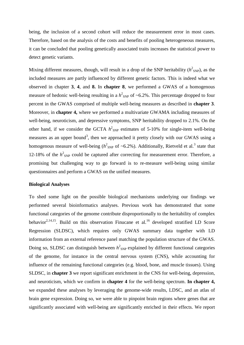being, the inclusion of a second cohort will reduce the measurement error in most cases. Therefore, based on the analysis of the costs and benefits of pooling heterogeneous measures, it can be concluded that pooling genetically associated traits increases the statistical power to detect genetic variants.

Mixing different measures, though, will result in a drop of the SNP heritability  $(h^2_{SNP})$ , as the included measures are partly influenced by different genetic factors. This is indeed what we observed in chapter **3**, **4**, and **8.** In **chapter 8**, we performed a GWAS of a homogenous measure of hedonic well-being resulting in a  $h^2_{SNP}$  of  $\sim 6.2\%$ . This percentage dropped to four percent in the GWAS comprised of multiple well-being measures as described in **chapter 3**. Moreover, in **chapter 4,** where we performed a multivariate GWAMA including measures of well-being, neuroticism, and depressive symptoms, SNP heritability dropped to 2.1%. On the other hand, if we consider the GCTA  $h^2_{SNP}$  estimates of 5-10% for single-item well-being measures as an upper bound<sup>3</sup>, then we approached it pretty closely with our GWAS using a homogenous measure of well-being  $(h^2_{SNP}$  of ~6.2%). Additionally, Rietveld et al.<sup>3</sup> state that 12-18% of the  $h^2_{SNP}$  could be captured after correcting for measurement error. Therefore, a promising but challenging way to go forward is to re-measure well-being using similar questionnaires and perform a GWAS on the unified measures.

# **Biological Analyses**

To shed some light on the possible biological mechanisms underlying our findings we performed several bioinformatics analyses. Previous work has demonstrated that some functional categories of the genome contribute disproportionally to the heritability of complex behavior<sup>2,14,15</sup>. Build on this observation Finucane et al.<sup>16</sup> developed stratified LD Score Regression (SLDSC), which requires only GWAS summary data together with LD information from an external reference panel matching the population structure of the GWAS. Doing so, SLDSC can distinguish between  $h^2$ <sub>SNP</sub> explained by different functional categories of the genome, for instance in the central nervous system (CNS), while accounting for influence of the remaining functional categories (e.g. blood, bone, and muscle tissues). Using SLDSC, in **chapter 3** we report significant enrichment in the CNS for well-being, depression, and neuroticism, which we confirm in **chapter 4** for the well-being spectrum. **In chapter 4,** we expanded these analyses by leveraging the genome-wide results, LDSC, and an atlas of brain gene expression. Doing so, we were able to pinpoint brain regions where genes that are significantly associated with well-being are significantly enriched in their effects. We report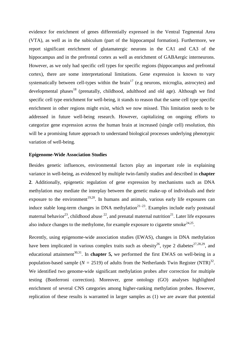evidence for enrichment of genes differentially expressed in the Ventral Tegmental Area (VTA), as well as in the subiculum (part of the hippocampal formation). Furthermore, we report significant enrichment of glutamatergic neurons in the CA1 and CA3 of the hippocampus and in the prefrontal cortex as well as enrichment of GABAergic interneurons. However, as we only had specific cell types for specific regions (hippocampus and prefrontal cortex), there are some interpretational limitations. Gene expression is known to vary systematically between cell-types within the brain<sup>17</sup> (e.g neurons, microglia, astrocytes) and developmental phases<sup>18</sup> (prenatally, childhood, adulthood and old age). Although we find specific cell type enrichment for well-being, it stands to reason that the same cell type specific enrichment in other regions might exist, which we now missed. This limitation needs to be addressed in future well-being research. However, capitalizing on ongoing efforts to categorize gene expression across the human brain at increased (single cell) resolution, this will be a promising future approach to understand biological processes underlying phenotypic variation of well-being.

# **Epigenome-Wide Association Studies**

Besides genetic influences, environmental factors play an important role in explaining variance in well-being, as evidenced by multiple twin-family studies and described in **chapter 2**. Additionally, epigenetic regulation of gene expression by mechanisms such as DNA methylation may mediate the interplay between the genetic make-up of individuals and their exposure to the environment<sup>19,20</sup>. In humans and animals, various early life exposures can induce stable long-term changes in DNA methylation<sup> $21-23$ </sup>. Examples include early postnatal maternal behavior<sup>23</sup>, childhood abuse  $^{22}$ , and prenatal maternal nutrition<sup>21</sup>. Later life exposures also induce changes to the methylome, for example exposure to cigarette smoke<sup>24,25</sup>.

Recently, using epigenome-wide association studies (EWAS), changes in DNA methylation have been implicated in various complex traits such as obesity<sup>26</sup>, type 2 diabetes<sup>27,28,29</sup>, and educational attainment<sup>30,31</sup>. In **chapter 5**, we performed the first EWAS on well-being in a population-based sample ( $N = 2519$ ) of adults from the Netherlands Twin Register (NTR)<sup>32</sup>. We identified two genome-wide significant methylation probes after correction for multiple testing (Bonferroni correction). Moreover, gene ontology (GO) analyses highlighted enrichment of several CNS categories among higher-ranking methylation probes. However, replication of these results is warranted in larger samples as (1) we are aware that potential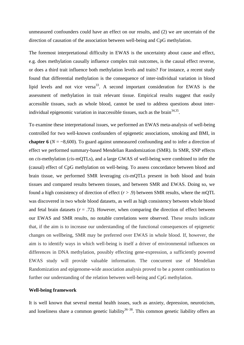unmeasured confounders could have an effect on our results, and (2) we are uncertain of the direction of causation of the association between well-being and CpG methylation.

The foremost interpretational difficulty in EWAS is the uncertainty about cause and effect, e.g. does methylation causally influence complex trait outcomes, is the causal effect reverse, or does a third trait influence both methylation levels and traits? For instance, a recent study found that differential methylation is the consequence of inter-individual variation in blood lipid levels and not vice versa<sup>33</sup>. A second important consideration for EWAS is the assessment of methylation in trait relevant tissue. Empirical results suggest that easily accessible tissues, such as whole blood, cannot be used to address questions about interindividual epigenomic variation in inaccessible tissues, such as the brain  $34,35$ .

To examine these interpretational issues, we performed an EWAS meta-analysis of well-being controlled for two well-known confounders of epigenetic associations, smoking and BMI, in **chapter 6** (*N* = ~8,600). To guard against unmeasured confounding and to infer a direction of effect we performed summary-based Mendelian Randomization (SMR). In SMR, SNP effects on *cis*-methylation (*cis*-mQTLs), and a large GWAS of well-being were combined to infer the (causal) effect of CpG methylation on well-being. To assess concordance between blood and brain tissue, we performed SMR leveraging *cis*-mQTLs present in both blood and brain tissues and compared results between tissues, and between SMR and EWAS. Doing so, we found a high consistency of direction of effect  $(r > .9)$  between SMR results, where the mQTL was discovered in two whole blood datasets, as well as high consistency between whole blood and fetal brain datasets  $(r = .72)$ . However, when comparing the direction of effect between our EWAS and SMR results, no notable correlations were observed. These results indicate that, if the aim is to increase our understanding of the functional consequences of epigenetic changes on wellbeing, SMR may be preferred over EWAS in whole blood. If, however, the aim is to identify ways in which well-being is itself a driver of environmental influences on differences in DNA methylation, possibly effecting gene-expression, a sufficiently powered EWAS study will provide valuable information. The concurrent use of Mendelian Randomization and epigenome-wide association analysis proved to be a potent combination to further our understanding of the relation between well-being and CpG methylation.

# **Well-being framework**

It is well known that several mental health issues, such as anxiety, depression, neuroticism, and loneliness share a common genetic liability<sup>36–38</sup>. This common genetic liability offers an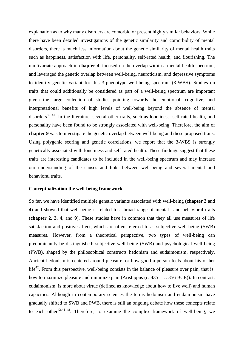explanation as to why many disorders are comorbid or present highly similar behaviors. While there have been detailed investigations of the genetic similarity and comorbidity of mental disorders, there is much less information about the genetic similarity of mental health traits such as happiness, satisfaction with life, personality, self-rated health, and flourishing. The multivariate approach in **chapter 4**, focused on the overlap within a mental health spectrum, and leveraged the genetic overlap between well-being, neuroticism, and depressive symptoms to identify genetic variant for this 3-phenotype well-being spectrum (3-WBS). Studies on traits that could additionally be considered as part of a well-being spectrum are important given the large collection of studies pointing towards the emotional, cognitive, and interpretational benefits of high levels of well-being beyond the absence of mental disorders $39-41$ . In the literature, several other traits, such as loneliness, self-rated health, and personality have been found to be strongly associated with well-being. Therefore, the aim of **chapter 9** was to investigate the genetic overlap between well-being and these proposed traits. Using polygenic scoring and genetic correlations, we report that the 3-WBS is strongly genetically associated with loneliness and self-rated health. These findings suggest that these traits are interesting candidates to be included in the well-being spectrum and may increase our understanding of the causes and links between well-being and several mental and behavioral traits.

# **Conceptualization the well-being framework**

So far, we have identified multiple genetic variants associated with well-being (**chapter 3** and **4**) and showed that well-being is related to a broad range of mental –and behavioral traits (**chapter 2**, **3**, **4**, and **9**). These studies have in common that they all use measures of life satisfaction and positive affect, which are often referred to as subjective well-being (SWB) measures. However, from a theoretical perspective, two types of well-being can predominantly be distinguished: subjective well-being (SWB) and psychological well-being (PWB), shaped by the philosophical constructs hedonism and eudaimonism, respectively. Ancient hedonism is centered around pleasure, or how good a person feels about his or her life<sup>42</sup>. From this perspective, well-being consists in the balance of pleasure over pain, that is: how to maximize pleasure and minimize pain (Aristippus (c.  $435 - c$ . 356 BCE)). In contrast, eudaimonism, is more about virtue (defined as knowledge about how to live well) and human capacities. Although in contemporary sciences the terms hedonism and eudaimonism have gradually shifted to SWB and PWB, there is still an ongoing debate how these concepts relate to each other  $42,44-48$ . Therefore, to examine the complex framework of well-being, we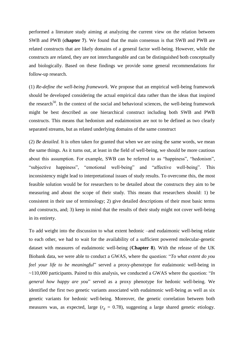performed a literature study aiming at analyzing the current view on the relation between SWB and PWB (**chapter 7**). We found that the main consensus is that SWB and PWB are related constructs that are likely domains of a general factor well-being. However, while the constructs are related, they are not interchangeable and can be distinguished both conceptually and biologically. Based on these findings we provide some general recommendations for follow-up research.

(1) *Re-define the well-being framework*. We propose that an empirical well-being framework should be developed considering the actual empirical data rather than the ideas that inspired the research<sup>50</sup>. In the context of the social and behavioral sciences, the well-being framework might be best described as one hierarchical construct including both SWB and PWB constructs. This means that hedonism and eudaimonism are not to be defined as two clearly separated streams, but as related underlying domains of the same construct

(2) *Be detailed.* It is often taken for granted that when we are using the same words, we mean the same things. As it turns out, at least in the field of well-being, we should be more cautious about this assumption. For example, SWB can be referred to as "happiness", "hedonism", "subjective happiness", "emotional well-being" and "affective well-being". This inconsistency might lead to interpretational issues of study results. To overcome this, the most feasible solution would be for researchers to be detailed about the constructs they aim to be measuring and about the scope of their study. This means that researchers should: 1) be consistent in their use of terminology; 2) give detailed descriptions of their most basic terms and constructs, and; 3) keep in mind that the results of their study might not cover well-being in its entirety.

To add weight into the discussion to what extent hedonic –and eudaimonic well-being relate to each other, we had to wait for the availability of a sufficient powered molecular-genetic dataset with measures of eudaimonic well-being (**Chapter 8**). With the release of the UK Biobank data, we were able to conduct a GWAS, where the question: "*To what extent do you feel your life to be meaningful*" served a proxy-phenotype for eudaimonic well-being in ~110,000 participants. Paired to this analysis, we conducted a GWAS where the question: "*In general how happy are you*" served as a proxy phenotype for hedonic well-being. We identified the first two genetic variants associated with eudaimonic well-being as well as six genetic variants for hedonic well-being. Moreover, the genetic correlation between both measures was, as expected, large  $(r<sub>g</sub> = 0.78)$ , suggesting a large shared genetic etiology.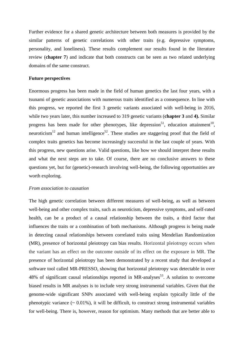Further evidence for a shared genetic architecture between both measures is provided by the similar patterns of genetic correlations with other traits (e.g. depressive symptoms, personality, and loneliness). These results complement our results found in the literature review (**chapter 7**) and indicate that both constructs can be seen as two related underlying domains of the same construct.

# **Future perspectives**

Enormous progress has been made in the field of human genetics the last four years, with a tsunami of genetic associations with numerous traits identified as a consequence. In line with this progress, we reported the first 3 genetic variants associated with well-being in 2016, while two years later, this number increased to 319 genetic variants (**chapter 3** and **4).** Similar progress has been made for other phenotypes, like depression<sup>51</sup>, education attainment<sup>10</sup>, neuroticism<sup>12</sup> and human intelligence<sup>52</sup>. These studies are staggering proof that the field of complex traits genetics has become increasingly successful in the last couple of years. With this progress, new questions arise. Valid questions, like how we should interpret these results and what the next steps are to take. Of course, there are no conclusive answers to these questions yet, but for (genetic)-research involving well-being, the following opportunities are worth exploring.

## *From association to causation*

The high genetic correlation between different measures of well-being, as well as between well-being and other complex traits, such as neuroticism, depressive symptoms, and self-rated health, can be a product of a causal relationship between the traits, a third factor that influences the traits or a combination of both mechanisms. Although progress is being made in detecting causal relationships between correlated traits using Mendelian Randomization (MR), presence of horizontal pleiotropy can bias results. Horizontal pleiotropy occurs when the variant has an effect on the outcome outside of its effect on the exposure in MR. The presence of horizontal pleiotropy has been demonstrated by a recent study that developed a software tool called MR-PRESSO, showing that horizontal pleiotropy was detectable in over 48% of significant causal relationships reported in MR-analyses<sup>53</sup>. A solution to overcome biased results in MR analyses is to include very strong instrumental variables. Given that the genome-wide significant SNPs associated with well-being explain typically little of the phenotypic variance  $(0.01\%)$ , it will be difficult, to construct strong instrumental variables for well-being. There is, however, reason for optimism. Many methods that are better able to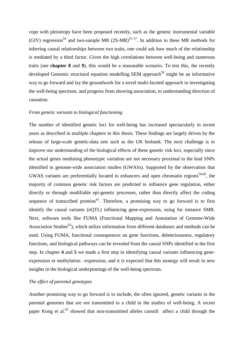cope with pleiotropy have been proposed recently, such as the genetic instrumental variable (GIV) regression<sup>54</sup> and two-sample MR (2S-MR)<sup>55–57</sup>. In addition to these MR methods for inferring causal relationships between two traits, one could ask how much of the relationship is mediated by a third factor. Given the high correlations between well-being and numerous traits (see **chapter 8** and **9**), this would be a reasonable scenario. To test this, the recently developed Genomic structural equation modelling SEM approach<sup>58</sup> might be an informative way to go forward and lay the groundwork for a novel multi-faceted approach in investigating the well-being spectrum, and progress from showing association, to understanding direction of causation.

# *From genetic variants to biological functioning*

The number of identified genetic loci for well-being has increased spectacularly in recent years as described in multiple chapters in this thesis. These findings are largely driven by the release of large-scale genetic-data sets such as the UK biobank. The next challenge is to improve our understanding of the biological effects of these genetic risk loci, especially since the actual genes mediating phenotypic variation are not necessary proximal to the lead SNPs identified in genome-wide association studies (GWASs). Supported by the observation that GWAS variants are preferentially located in enhancers and open chromatin regions<sup>59,60</sup>, the majority of common genetic risk factors are predicted to influence gene regulation, either directly or through modifiable epi-genetic processes, rather than directly affect the coding sequence of transcribed proteins<sup>61</sup>. Therefore, a promising way to go forward is to first identify the causal variants (eQTL) influencing gene-expression, using for instance SMR. Next, software tools like FUMA (Functional Mapping and Annotation of Genome-Wide Association Studies<sup>62</sup>), which utilize information from different databases and methods can be used. Using FUMA, functional consequences on gene functions, deleteriousness, regulatory functions, and biological pathways can be revealed from the causal SNPs identified in the first step. In chapter **4** and **5** we made a first step in identifying causal variants influencing geneexpression or methylation –expression, and it is expected that this strategy will result in new insights in the biological underpinnings of the well-being spectrum.

# *The effect of parental genotypes*

Another promising way to go forward is to include, the often ignored, genetic variants in the parental genomes that are *not* transmitted to a child in the studies of well-being. A recent paper Kong et al. $^{63}$  showed that non-transmitted alleles canstill affect a child through the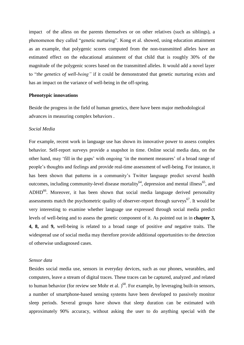impact of the alless on the parents themselves or on other relatives (such as siblings), a phenomenon they called "genetic nurturing". Kong et al. showed, using education attainment as an example, that polygenic scores computed from the non-transmitted alleles have an estimated effect on the educational attainment of that child that is roughly 30% of the magnitude of the polygenic scores based on the transmitted alleles. It would add a novel layer to "*the genetics of well-being"* if it could be demonstrated that genetic nurturing exists and has an impact on the variance of well-being in the off-spring.

## **Phenotypic innovations**

Beside the progress in the field of human genetics, there have been major methodological advances in measuring complex behaviors .

## *Social Media*

For example, recent work in language use has shown its innovative power to assess complex behavior. Self-report surveys provide a snapshot in time. Online social media data, on the other hand, may 'fill in the gaps' with ongoing 'in the moment measures' of a broad range of people's thoughts and feelings and provide real-time assessment of well-being. For instance, it has been shown that patterns in a community's Twitter language predict several health outcomes, including community-level disease mortality<sup>64</sup>, depression and mental illness<sup>65</sup>, and  $ADHD<sup>66</sup>$ . Moreover, it has been shown that social media language derived personality assessments match the psychometric quality of observer-report through surveys<sup>67</sup>. It would be very interesting to examine whether language use expressed through social media predict levels of well-being and to assess the genetic component of it. As pointed out in in **chapter 3, 4, 8,** and **9,** well-being is related to a broad range of positive *and* negative traits. The widespread use of social media may therefore provide additional opportunities to the detection of otherwise undiagnosed cases.

# *Sensor data*

Besides social media use, sensors in everyday devices, such as our phones, wearables, and computers, leave a stream of digital traces. These traces can be captured, analyzed ,and related to human behavior (for review see Mohr et al.  $)^{68}$ . For example, by leveraging built-in sensors, a number of smartphone-based sensing systems have been developed to passively monitor sleep periods. Several groups have shown that sleep duration can be estimated with approximately 90% accuracy, without asking the user to do anything special with the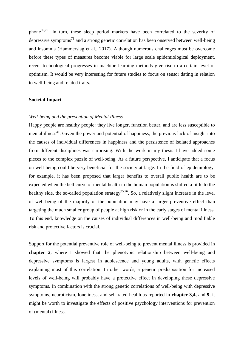phone<sup>69,70</sup>. In turn, these sleep period markers have been correlated to the severity of depressive symptoms<sup>71</sup> and a strong genetic correlation has been onserved between well-being and insomnia (Hammerslag et al., 2017). Although numerous challenges must be overcome before these types of measures become viable for large scale epidemiological deployment, recent technological progresses in machine learning methods give rise to a certain level of optimism. It would be very interesting for future studies to focus on sensor dating in relation to well-being and related traits.

#### **Societal Impact**

## *Well-being and the prevention of Mental Illness*

Happy people are healthy people: they live longer, function better, and are less susceptible to mental illness<sup>41</sup>. Given the power and potential of happiness, the previous lack of insight into the causes of individual differences in happiness and the persistence of isolated approaches from different disciplines was surprising. With the work in my thesis I have added some pieces to the complex puzzle of well-being. As a future perspective, I anticipate that a focus on well-being could be very beneficial for the society at large. In the field of epidemiology, for example, it has been proposed that larger benefits to overall public health are to be expected when the bell curve of mental health in the human population is shifted a little to the healthy side, the so-called population strategy<sup>75,76</sup>. So, a relatively slight increase in the level of well-being of the majority of the population may have a larger preventive effect than targeting the much smaller group of people at high risk or in the early stages of mental illness. To this end, knowledge on the causes of individual differences in well-being and modifiable risk and protective factors is crucial.

Support for the potential preventive role of well-being to prevent mental illness is provided in **chapter 2**, where I showed that the phenotypic relationship between well-being and depressive symptoms is largest in adolescence and young adults, with genetic effects explaining most of this correlation. In other words, a genetic predisposition for increased levels of well-being will probably have a protective effect in developing these depressive symptoms. In combination with the strong genetic correlations of well-being with depressive symptoms, neuroticism, loneliness, and self-rated health as reported in **chapter 3**,**4,** and **9**, it might be worth to investigate the effects of positive psychology interventions for prevention of (mental) illness.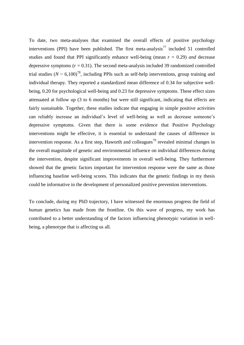To date, two meta-analyses that examined the overall effects of positive psychology interventions (PPI) have been published. The first meta-analysis<sup>77</sup> included 51 controlled studies and found that PPI significantly enhance well-being (mean  $r = 0.29$ ) *and* decrease depressive symptoms  $(r = 0.31)$ . The second meta-analysis included 39 randomized controlled trial studies ( $N \sim 6,100$ <sup>78</sup>, including PPIs such as self-help interventions, group training and individual therapy. They reported a standardized mean difference of 0.34 for subjective wellbeing, 0.20 for psychological well-being and 0.23 for depressive symptoms. These effect sizes attenuated at follow up (3 to 6 months) but were still significant, indicating that effects are fairly sustainable. Together, these studies indicate that engaging in simple positive activities can reliably increase an individual's level of well-being as well as decrease someone's depressive symptoms. Given that there is some evidence that Positive Psychology interventions might be effective, it is essential to understand the causes of difference in intervention response. As a first step, Haworth and colleagues<sup>79</sup> revealed minimal changes in the overall magnitude of genetic and environmental influence on individual differences during the intervention, despite significant improvements in overall well-being. They furthermore showed that the genetic factors important for intervention response were the same as those influencing baseline well-being scores. This indicates that the genetic findings in my thesis could be informative in the development of personalized positive prevention interventions.

To conclude, during my PhD trajectory, I have witnessed the enormous progress the field of human genetics has made from the frontline. On this wave of progress, my work has contributed to a better understanding of the factors influencing phenotypic variation in wellbeing, a phenotype that is affecting us all.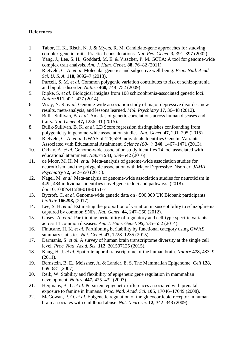# **References**

- 1. Tabor, H. K., Risch, N. J. & Myers, R. M. Candidate-gene approaches for studying complex genetic traits: Practical considerations. *Nat. Rev. Genet.* **3,** 391–397 (2002).
- 2. Yang, J., Lee, S. H., Goddard, M. E. & Visscher, P. M. GCTA: A tool for genome-wide complex trait analysis. *Am. J. Hum. Genet.* **88,** 76–82 (2011).
- 3. Rietveld, C. A. *et al.* Molecular genetics and subjective well-being. *Proc. Natl. Acad. Sci. U. S. A.* **110,** 9692–7 (2013).
- 4. Purcell, S. M. *et al.* Common polygenic variation contributes to risk of schizophrenia and bipolar disorder. *Nature* **460,** 748–752 (2009).
- 5. Ripke, S. *et al.* Biological insights from 108 schizophrenia-associated genetic loci. *Nature* **511,** 421–427 (2014).
- 6. Wray, N. R. *et al.* Genome-wide association study of major depressive disorder: new results, meta-analysis, and lessons learned. *Mol. Psychiatry* **17,** 36–48 (2012).
- 7. Bulik-Sullivan, B. *et al.* An atlas of genetic correlations across human diseases and traits. *Nat. Genet.* **47,** 1236–41 (2015).
- 8. Bulik-Sullivan, B. K. *et al.* LD Score regression distinguishes confounding from polygenicity in genome-wide association studies. *Nat. Genet.* **47,** 291–295 (2015).
- 9. Rietveld, C. A. *et al.* GWAS of 126,559 Individuals Identifies Genetic Variants Associated with Educational Attainment. *Science (80-. ).* **340,** 1467–1471 (2013).
- 10. Okbay, A. *et al.* Genome-wide association study identifies 74 loci associated with educational attainment. *Nature* **533,** 539–542 (2016).
- 11. de Moor, M. H. M. *et al.* Meta-analysis of genome-wide association studies for neuroticism, and the polygenic association with Major Depressive Disorder. *JAMA Psychiatry* **72,** 642–650 (2015).
- 12. Nagel, M. *et al.* Meta-analysis of genome-wide association studies for neuroticism in 449 , 484 individuals identifies novel genetic loci and pathways. (2018). doi:10.1038/s41588-018-0151-7
- 13. Bycroft, C. *et al.* Genome-wide genetic data on ~500,000 UK Biobank participants. *bioRxiv* **166298,** (2017).
- 14. Lee, S. H. *et al.* Estimating the proportion of variation in susceptibility to schizophrenia captured by common SNPs. *Nat. Genet.* **44,** 247–250 (2012).
- 15. Gusev, A. *et al.* Partitioning heritability of regulatory and cell-type-specific variants across 11 common diseases. *Am. J. Hum. Genet.* **95,** 535–552 (2014).
- 16. Finucane, H. K. *et al.* Partitioning heritability by functional category using GWAS summary statistics. *Nat. Genet.* **47,** 1228–1235 (2015).
- 17. Darmanis, S. *et al.* A survey of human brain transcriptome diversity at the single cell level. *Proc. Natl. Acad. Sci.* **112,** 201507125 (2015).
- 18. Kang, H. J. *et al.* Spatio-temporal transcriptome of the human brain. *Nature* **478,** 483–9 (2011).
- 19. Bernstein, B. E., Meissner, A. & Lander, E. S. The Mammalian Epigenome. *Cell* **128,** 669–681 (2007).
- 20. Reik, W. Stability and flexibility of epigenetic gene regulation in mammalian development. *Nature* **447,** 425–432 (2007).
- 21. Heijmans, B. T. *et al.* Persistent epigenetic differences associated with prenatal exposure to famine in humans. *Proc. Natl. Acad. Sci.* **105,** 17046–17049 (2008).
- 22. McGowan, P. O. *et al.* Epigenetic regulation of the glucocorticoid receptor in human brain associates with childhood abuse. *Nat. Neurosci.* **12,** 342–348 (2009).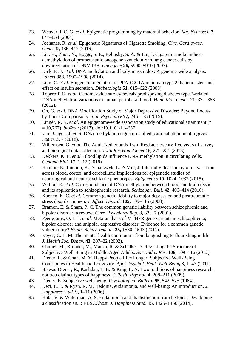- 23. Weaver, I. C. G. *et al.* Epigenetic programming by maternal behavior. *Nat. Neurosci.* **7,** 847–854 (2004).
- 24. Joehanes, R. *et al.* Epigenetic Signatures of Cigarette Smoking. *Circ. Cardiovasc. Genet.* **9,** 436–447 (2016).
- 25. Liu, H., Zhou, Y., Boggs, S. E., Belinsky, S. A. & Liu, J. Cigarette smoke induces demethylation of prometastatic oncogene synuclein-γ in lung cancer cells by downregulation of DNMT3B. *Oncogene* **26,** 5900–5910 (2007).
- 26. Dick, K. J. *et al.* DNA methylation and body-mass index: A genome-wide analysis. *Lancet* **383,** 1990–1998 (2014).
- 27. Ling, C. *et al.* Epigenetic regulation of PPARGC1A in human type 2 diabetic islets and effect on insulin secretion. *Diabetologia* **51,** 615–622 (2008).
- 28. Toperoff, G. *et al.* Genome-wide survey reveals predisposing diabetes type 2-related DNA methylation variations in human peripheral blood. *Hum. Mol. Genet.* **21,** 371–383 (2012).
- 29. Oh, G. *et al.* DNA Modification Study of Major Depressive Disorder: Beyond Locusby-Locus Comparisons. *Biol. Psychiatry* **77,** 246–255 (2015).
- 30. Linnér, R. K. *et al.* An epigenome-wide association study of educational attainment (n  $= 10,767$ ). *bioRxiv* (2017). doi:10.1101/114637
- 31. van Dongen, J. *et al.* DNA methylation signatures of educational attainment. *npj Sci. Learn.* **3,** 7 (2018).
- 32. Willemsen, G. *et al.* The Adult Netherlands Twin Register: twenty-five years of survey and biological data collection. *Twin Res Hum Genet* **16,** 271–281 (2013).
- 33. Dekkers, K. F. *et al.* Blood lipids influence DNA methylation in circulating cells. *Genome Biol.* **17,** 1–12 (2016).
- 34. Hannon, E., Lunnon, K., Schalkwyk, L. & Mill, J. Interindividual methylomic variation across blood, cortex, and cerebellum: Implications for epigenetic studies of neurological and neuropsychiatric phenotypes. *Epigenetics* **10,** 1024–1032 (2015).
- 35. Walton, E. *et al.* Correspondence of DNA methylation between blood and brain tissue and its application to schizophrenia research. *Schizophr. Bull.* **42,** 406–414 (2016).
- 36. Koenen, K. C. *et al.* Common genetic liability to major depression and posttraumatic stress disorder in men. *J. Affect. Disord.* **105,** 109–115 (2008).
- 37. Bramon, E. & Sham, P. C. The common genetic liability between schizophrenia and bipolar disorder: a review. *Curr. Psychiatry Rep.* **3,** 332–7 (2001).
- 38. Peerbooms, O. L. J. *et al.* Meta-analysis of MTHFR gene variants in schizophrenia, bipolar disorder and unipolar depressive disorder: Evidence for a common genetic vulnerability? *Brain. Behav. Immun.* **25,** 1530–1543 (2011).
- 39. Keyes, C. L. M. The mental health continuum: from languishing to flourishing in life. *J. Health Soc. Behav.* **43,** 207–22 (2002).
- 40. Chmiel, M., Brunner, M., Martin, R. & Schalke, D. Revisiting the Structure of Subjective Well-Being in Middle-Aged Adults. *Soc. Indic. Res.* **106,** 109–116 (2012).
- 41. Diener, E. & Chan, M. Y. Happy People Live Longer: Subjective Well-Being Contributes to Health and Longevity. *Appl. Psychol. Heal. Well-Being* **3,** 1–43 (2011).
- 42. Biswas-Diener, R., Kashdan, T. B. & King, L. A. Two traditions of happiness research, not two distinct types of happiness. *J. Posit. Psychol.* **4,** 208–211 (2009).
- 43. Diener, E. Subjective well-being. *Psychological Bulletin* **95,** 542–575 (1984).
- 44. Deci, E. L. & Ryan, R. M. Hedonia, eudaimonia, and well-being: An introduction. *J. Happiness Stud.* **9,** 1–11 (2006).
- 45. Huta, V. & Waterman, A. S. Eudaimonia and its distinction from hedonia: Developing a classification an...: EBSCOhost. *J. Happiness Stud.* **15,** 1425–1456 (2014).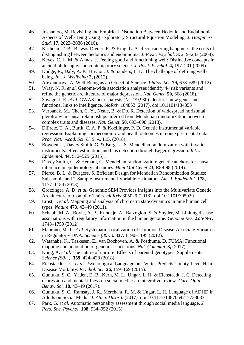- 46. Joshanloo, M. Revisiting the Empirical Distinction Between Hedonic and Eudaimonic Aspects of Well-Being Using Exploratory Structural Equation Modeling. *J. Happiness Stud.* **17,** 2023–2036 (2016).
- 47. Kashdan, T. B., Biswas-Diener, R. & King, L. A. Reconsidering happiness: the costs of distinguishing between hedonics and eudaimonia. *J. Posit. Psychol.* **3,** 219–233 (2008).
- 48. Keyes, C. L. M. & Annas, J. Feeling good and functioning well: Distinctive concepts in ancient philosophy and contemporary science. *J. Posit. Psychol.* **4,** 197–201 (2009).
- 49. Dodge, R., Daly, A. P., Huyton, J. & Sanders, L. D. The challenge of defining wellbeing. *Int. J. Wellbeing* **2,** (2012).
- 50. Alexandrova, A. Well-Being as an Object of Science. *Philos. Sci.* **79,** 678–689 (2012).
- 51. Wray, N. R. *et al.* Genome-wide association analyses identify 44 risk variants and refine the genetic architecture of major depression. *Nat. Genet.* **50,** 668 (2018).
- 52. Savage, J. E. *et al.* GWAS meta-analysis (N=279,930) identifies new genes and functional links to intelligence. *bioRxiv* 184853 (2017). doi:10.1101/184853
- 53. Verbanck, M., Chen, C. Y., Neale, B. & Do, R. Detection of widespread horizontal pleiotropy in causal relationships inferred from Mendelian randomization between complex traits and diseases. *Nat. Genet.* **50,** 693–698 (2018).
- 54. DiPrete, T. A., Burik, C. A. P. & Koellinger, P. D. Genetic instrumental variable regression: Explaining socioeconomic and health outcomes in nonexperimental data. *Proc. Natl. Acad. Sci. U. S. A.* **115,** (2018).
- 55. Bowden, J., Davey Smith, G. & Burgess, S. Mendelian randomization with invalid instruments: effect estimation and bias detection through Egger regression. *Int. J. Epidemiol.* **44,** 512–525 (2015).
- 56. Davey Smith, G. & Hemani, G. Mendelian randomization: genetic anchors for causal inference in epidemiological studies. *Hum Mol Genet* **23,** R89-98 (2014).
- 57. Pierce, B. L. & Burgess, S. Efficient Design for Mendelian Randomization Studies: Subsample and 2-Sample Instrumental Variable Estimators. *Am. J. Epidemiol.* **178,** 1177–1184 (2013).
- 58. Grotzinger, A. D. *et al.* Genomic SEM Provides Insights into the Multivariate Genetic Architecture of Complex Traits. *bioRxiv* 305029 (2018). doi:10.1101/305029
- 59. Ernst, J. *et al.* Mapping and analysis of chromatin state dynamics in nine human cell types. *Nature* **473,** 43–49 (2011).
- 60. Schaub, M. A., Boyle, A. P., Kundaje, A., Batzoglou, S. & Snyder, M. Linking disease associations with regulatory information in the human genome. *Genome Res.* **22 VN-r,** 1748–1759 (2012).
- 61. Maurano, M. T. *et al.* Systematic Localization of Common Disease-Associate Variation in Regulatorty DNA. *Science (80-. ).* **337,** 1190–1195 (2012).
- 62. Watanabe, K., Taskesen, E., van Bochoven, A. & Posthuma, D. FUMA: Functional mapping and annotation of genetic associations. *Nat. Commun.* **8,** (2017).
- 63. Kong, A. *et al.* The nature of nurture: Effects of parental genotypes: Supplements. *Science (80-. ).* **359,** 424–428 (2018).
- 64. Eichstaedt, J. C. *et al.* Psychological Language on Twitter Predicts County-Level Heart Disease Mortality. *Psychol. Sci.* **26,** 159–169 (2015).
- 65. Guntuku, S. C., Yaden, D. B., Kern, M. L., Ungar, L. H. & Eichstaedt, J. C. Detecting depression and mental illness on social media: an integrative review. *Curr. Opin. Behav. Sci.* **18,** 43–49 (2017).
- 66. Guntuku, S. C., Ramsay, J. R., Merchant, R. M. & Ungar, L. H. Language of ADHD in Adults on Social Media. *J. Atten. Disord.* (2017). doi:10.1177/1087054717738083
- 67. Park, G. *et al.* Automatic personality assessment through social media language. *J. Pers. Soc. Psychol.* **108,** 934–952 (2015).